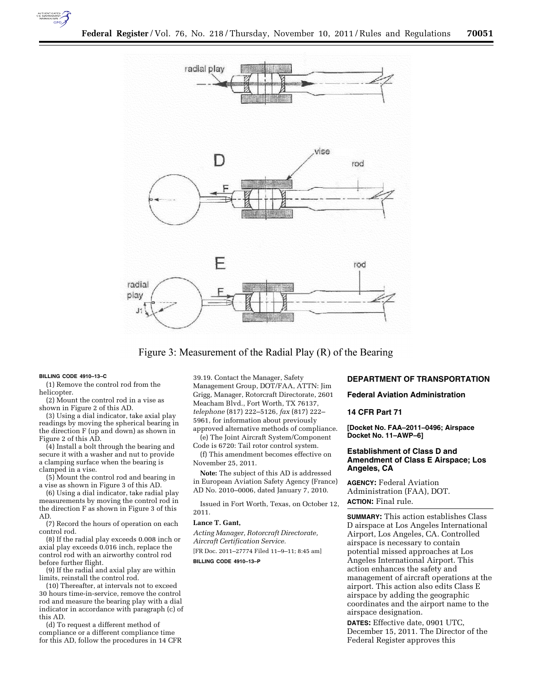



Figure 3: Measurement of the Radial Play (R) of the Bearing

#### **BILLING CODE 4910–13–C**

(1) Remove the control rod from the helicopter.

(2) Mount the control rod in a vise as shown in Figure 2 of this AD.

(3) Using a dial indicator, take axial play readings by moving the spherical bearing in the direction F (up and down) as shown in Figure 2 of this AD.

(4) Install a bolt through the bearing and secure it with a washer and nut to provide a clamping surface when the bearing is clamped in a vise.

(5) Mount the control rod and bearing in a vise as shown in Figure 3 of this AD.

(6) Using a dial indicator, take radial play measurements by moving the control rod in the direction F as shown in Figure 3 of this AD.

(7) Record the hours of operation on each control rod.

(8) If the radial play exceeds 0.008 inch or axial play exceeds 0.016 inch, replace the control rod with an airworthy control rod before further flight.

(9) If the radial and axial play are within limits, reinstall the control rod.

(10) Thereafter, at intervals not to exceed 30 hours time-in-service, remove the control rod and measure the bearing play with a dial indicator in accordance with paragraph (c) of this AD.

(d) To request a different method of compliance or a different compliance time for this AD, follow the procedures in 14 CFR 39.19. Contact the Manager, Safety Management Group, DOT/FAA, ATTN: Jim Grigg, Manager, Rotorcraft Directorate, 2601 Meacham Blvd., Fort Worth, TX 76137, *telephone* (817) 222–5126, *fax* (817) 222– 5961, for information about previously approved alternative methods of compliance.

(e) The Joint Aircraft System/Component Code is 6720: Tail rotor control system.

(f) This amendment becomes effective on November 25, 2011.

**Note:** The subject of this AD is addressed in European Aviation Safety Agency (France) AD No. 2010–0006, dated January 7, 2010.

Issued in Fort Worth, Texas, on October 12, 2011.

### **Lance T. Gant,**

*Acting Manager, Rotorcraft Directorate, Aircraft Certification Service.*  [FR Doc. 2011–27774 Filed 11–9–11; 8:45 am]

**BILLING CODE 4910–13–P** 

# **DEPARTMENT OF TRANSPORTATION**

### **Federal Aviation Administration**

# **14 CFR Part 71**

**[Docket No. FAA–2011–0496; Airspace Docket No. 11–AWP–6]** 

## **Establishment of Class D and Amendment of Class E Airspace; Los Angeles, CA**

**AGENCY:** Federal Aviation Administration (FAA), DOT. **ACTION:** Final rule.

**SUMMARY:** This action establishes Class D airspace at Los Angeles International Airport, Los Angeles, CA. Controlled airspace is necessary to contain potential missed approaches at Los Angeles International Airport. This action enhances the safety and management of aircraft operations at the airport. This action also edits Class E airspace by adding the geographic coordinates and the airport name to the airspace designation.

**DATES:** Effective date, 0901 UTC, December 15, 2011. The Director of the Federal Register approves this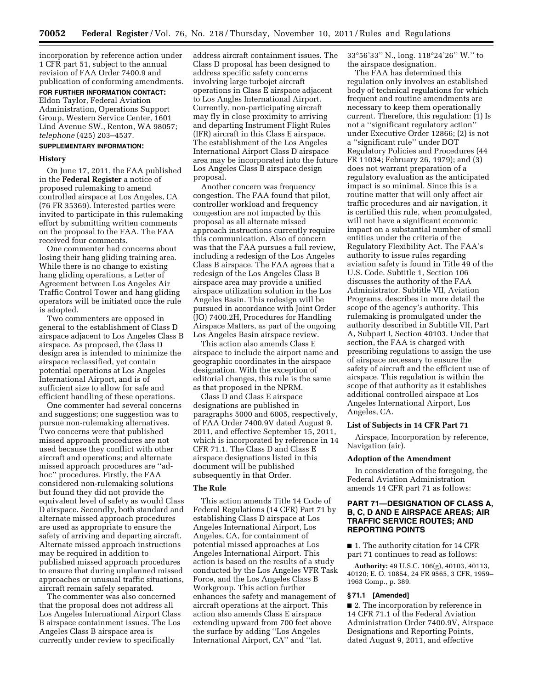incorporation by reference action under 1 CFR part 51, subject to the annual revision of FAA Order 7400.9 and publication of conforming amendments.

#### **FOR FURTHER INFORMATION CONTACT:**

Eldon Taylor, Federal Aviation Administration, Operations Support Group, Western Service Center, 1601 Lind Avenue SW., Renton, WA 98057; *telephone* (425) 203–4537.

# **SUPPLEMENTARY INFORMATION:**

### **History**

On June 17, 2011, the FAA published in the **Federal Register** a notice of proposed rulemaking to amend controlled airspace at Los Angeles, CA (76 FR 35369). Interested parties were invited to participate in this rulemaking effort by submitting written comments on the proposal to the FAA. The FAA received four comments.

One commenter had concerns about losing their hang gliding training area. While there is no change to existing hang gliding operations, a Letter of Agreement between Los Angeles Air Traffic Control Tower and hang gliding operators will be initiated once the rule is adopted.

Two commenters are opposed in general to the establishment of Class D airspace adjacent to Los Angeles Class B airspace. As proposed, the Class D design area is intended to minimize the airspace reclassified, yet contain potential operations at Los Angeles International Airport, and is of sufficient size to allow for safe and efficient handling of these operations.

One commenter had several concerns and suggestions; one suggestion was to pursue non-rulemaking alternatives. Two concerns were that published missed approach procedures are not used because they conflict with other aircraft and operations; and alternate missed approach procedures are ''adhoc'' procedures. Firstly, the FAA considered non-rulemaking solutions but found they did not provide the equivalent level of safety as would Class D airspace. Secondly, both standard and alternate missed approach procedures are used as appropriate to ensure the safety of arriving and departing aircraft. Alternate missed approach instructions may be required in addition to published missed approach procedures to ensure that during unplanned missed approaches or unusual traffic situations, aircraft remain safely separated.

The commenter was also concerned that the proposal does not address all Los Angeles International Airport Class B airspace containment issues. The Los Angeles Class B airspace area is currently under review to specifically

address aircraft containment issues. The Class D proposal has been designed to address specific safety concerns involving large turbojet aircraft operations in Class E airspace adjacent to Los Angles International Airport. Currently, non-participating aircraft may fly in close proximity to arriving and departing Instrument Flight Rules (IFR) aircraft in this Class E airspace. The establishment of the Los Angeles International Airport Class D airspace area may be incorporated into the future Los Angeles Class B airspace design proposal.

Another concern was frequency congestion. The FAA found that pilot, controller workload and frequency congestion are not impacted by this proposal as all alternate missed approach instructions currently require this communication. Also of concern was that the FAA pursues a full review, including a redesign of the Los Angeles Class B airspace. The FAA agrees that a redesign of the Los Angeles Class B airspace area may provide a unified airspace utilization solution in the Los Angeles Basin. This redesign will be pursued in accordance with Joint Order (JO) 7400.2H, Procedures for Handling Airspace Matters, as part of the ongoing Los Angeles Basin airspace review.

This action also amends Class E airspace to include the airport name and geographic coordinates in the airspace designation. With the exception of editorial changes, this rule is the same as that proposed in the NPRM.

Class D and Class E airspace designations are published in paragraphs 5000 and 6005, respectively, of FAA Order 7400.9V dated August 9, 2011, and effective September 15, 2011, which is incorporated by reference in 14 CFR 71.1. The Class D and Class E airspace designations listed in this document will be published subsequently in that Order.

# **The Rule**

This action amends Title 14 Code of Federal Regulations (14 CFR) Part 71 by establishing Class D airspace at Los Angeles International Airport, Los Angeles, CA, for containment of potential missed approaches at Los Angeles International Airport. This action is based on the results of a study conducted by the Los Angeles VFR Task Force, and the Los Angeles Class B Workgroup. This action further enhances the safety and management of aircraft operations at the airport. This action also amends Class E airspace extending upward from 700 feet above the surface by adding ''Los Angeles International Airport, CA'' and ''lat.

33°56'33'' N., long. 118°24'26'' W.'' to the airspace designation.

The FAA has determined this regulation only involves an established body of technical regulations for which frequent and routine amendments are necessary to keep them operationally current. Therefore, this regulation: (1) Is not a ''significant regulatory action'' under Executive Order 12866; (2) is not a ''significant rule'' under DOT Regulatory Policies and Procedures (44 FR 11034; February 26, 1979); and (3) does not warrant preparation of a regulatory evaluation as the anticipated impact is so minimal. Since this is a routine matter that will only affect air traffic procedures and air navigation, it is certified this rule, when promulgated, will not have a significant economic impact on a substantial number of small entities under the criteria of the Regulatory Flexibility Act. The FAA's authority to issue rules regarding aviation safety is found in Title 49 of the U.S. Code. Subtitle 1, Section 106 discusses the authority of the FAA Administrator. Subtitle VII, Aviation Programs, describes in more detail the scope of the agency's authority. This rulemaking is promulgated under the authority described in Subtitle VII, Part A, Subpart I, Section 40103. Under that section, the FAA is charged with prescribing regulations to assign the use of airspace necessary to ensure the safety of aircraft and the efficient use of airspace. This regulation is within the scope of that authority as it establishes additional controlled airspace at Los Angeles International Airport, Los Angeles, CA.

## **List of Subjects in 14 CFR Part 71**

Airspace, Incorporation by reference, Navigation (air).

### **Adoption of the Amendment**

In consideration of the foregoing, the Federal Aviation Administration amends 14 CFR part 71 as follows:

# **PART 71—DESIGNATION OF CLASS A, B, C, D AND E AIRSPACE AREAS; AIR TRAFFIC SERVICE ROUTES; AND REPORTING POINTS**

■ 1. The authority citation for 14 CFR part 71 continues to read as follows:

**Authority:** 49 U.S.C. 106(g), 40103, 40113, 40120; E. O. 10854, 24 FR 9565, 3 CFR, 1959– 1963 Comp., p. 389.

### **§ 71.1 [Amended]**

■ 2. The incorporation by reference in 14 CFR 71.1 of the Federal Aviation Administration Order 7400.9V, Airspace Designations and Reporting Points, dated August 9, 2011, and effective